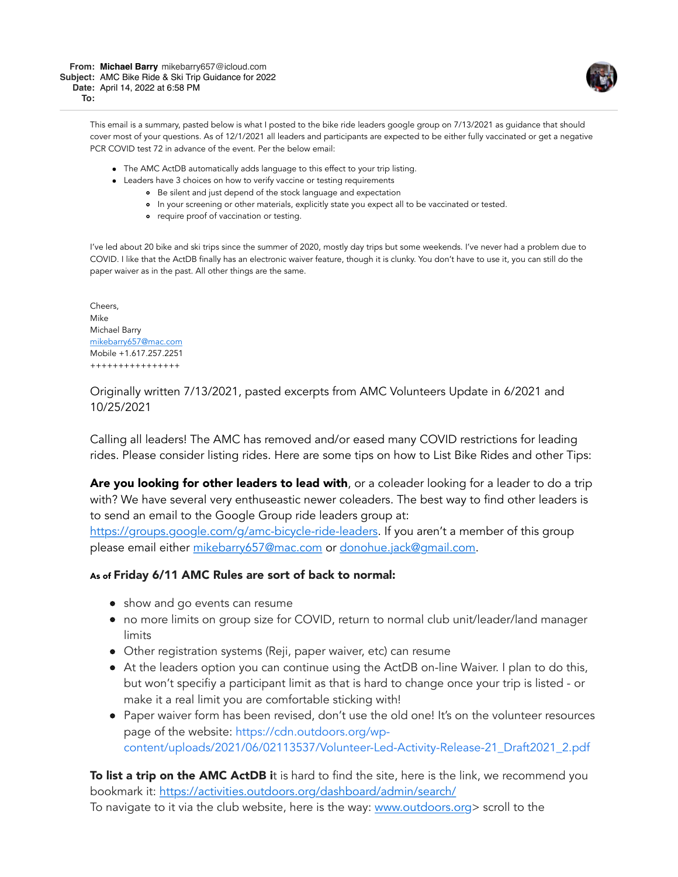This email is a summary, pasted below is what I posted to the bike ride leaders google group on 7/13/2021 as guidance that should cover most of your questions. As of 12/1/2021 all leaders and participants are expected to be either fully vaccinated or get a negative PCR COVID test 72 in advance of the event. Per the below email:

- The AMC ActDB automatically adds language to this effect to your trip listing.
- Leaders have 3 choices on how to verify vaccine or testing requirements
	- Be silent and just depend of the stock language and expectation
	- In your screening or other materials, explicitly state you expect all to be vaccinated or tested.
	- **•** require proof of vaccination or testing.

I've led about 20 bike and ski trips since the summer of 2020, mostly day trips but some weekends. I've never had a problem due to COVID. I like that the ActDB finally has an electronic waiver feature, though it is clunky. You don't have to use it, you can still do the paper waiver as in the past. All other things are the same.

Cheers, Mike Michael Barry [mikebarry657@mac.com](mailto:mikebarry657@mac.com) Mobile +1.617.257.2251 ++++++++++++++++

Originally written 7/13/2021, pasted excerpts from AMC Volunteers Update in 6/2021 and 10/25/2021

Calling all leaders! The AMC has removed and/or eased many COVID restrictions for leading rides. Please consider listing rides. Here are some tips on how to List Bike Rides and other Tips:

Are you looking for other leaders to lead with, or a coleader looking for a leader to do a trip with? We have several very enthuseastic newer coleaders. The best way to find other leaders is to send an email to the Google Group ride leaders group at:

<https://groups.google.com/g/amc-bicycle-ride-leaders>. If you aren't a member of this group please email either [mikebarry657@mac.com](mailto:mikebarry657@mac.com) or [donohue.jack@gmail.com.](mailto:donohue.jack@gmail.com)

### As of Friday 6/11 AMC Rules are sort of back to normal:

- show and go events can resume
- no more limits on group size for COVID, return to normal club unit/leader/land manager limits
- Other registration systems (Reji, paper waiver, etc) can resume
- At the leaders option you can continue using the ActDB on-line Waiver. I plan to do this, but won't specifiy a participant limit as that is hard to change once your trip is listed - or make it a real limit you are comfortable sticking with!
- Paper waiver form has been revised, don't use the old one! It's on the volunteer resources page of the website: https://cdn.outdoors.org/wp[content/uploads/2021/06/02113537/Volunteer-Led-Activity-Release-21\\_Draft2021\\_2.pdf](https://cdn.outdoors.org/wp-content/uploads/2021/06/02113537/Volunteer-Led-Activity-Release-21_Draft2021_2.pdf)

**To list a trip on the AMC ActDB i**t is hard to find the site, here is the link, we recommend you bookmark it:<https://activities.outdoors.org/dashboard/admin/search/>

To navigate to it via the club website, here is the way: [www.outdoors.org](http://www.outdoors.org/)> scroll to the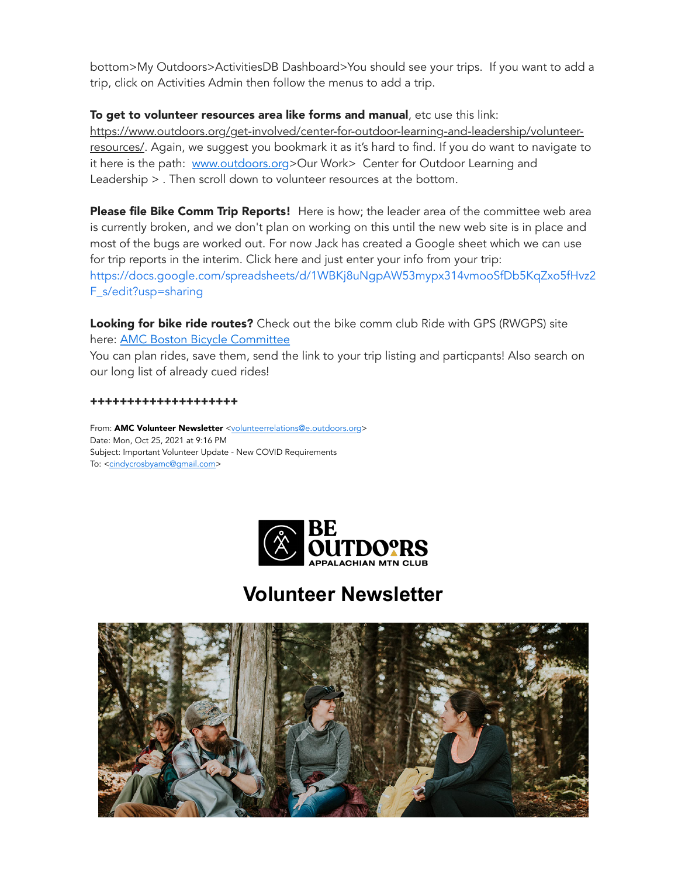bottom>My Outdoors>ActivitiesDB Dashboard>You should see your trips. If you want to add a trip, click on Activities Admin then follow the menus to add a trip.

## To get to volunteer resources area like forms and manual, etc use this link:

[https://www.outdoors.org/get-involved/center-for-outdoor-learning-and-leadership/volunteer](https://www.outdoors.org/get-involved/center-for-outdoor-learning-and-leadership/volunteer-resources/)resources/. Again, we suggest you bookmark it as it's hard to find. If you do want to navigate to it here is the path: [www.outdoors.org](http://www.outdoors.org/)>Our Work> Center for Outdoor Learning and Leadership > . Then scroll down to volunteer resources at the bottom.

Please file Bike Comm Trip Reports! Here is how; the leader area of the committee web area is currently broken, and we don't plan on working on this until the new web site is in place and most of the bugs are worked out. For now Jack has created a Google sheet which we can use for trip reports in the interim. Click here and just enter your info from your trip: [https://docs.google.com/spreadsheets/d/1WBKj8uNgpAW53mypx314vmooSfDb5KqZxo5fHvz2](https://docs.google.com/spreadsheets/d/1WBKj8uNgpAW53mypx314vmooSfDb5KqZxo5fHvz2F_s/edit?usp=sharing) F\_s/edit?usp=sharing

Looking for bike ride routes? Check out the bike comm club Ride with GPS (RWGPS) site here: [AMC Boston Bicycle Committee](https://ridewithgps.com/clubs/630-amc-boston-bicycle-committee)

You can plan rides, save them, send the link to your trip listing and particpants! Also search on our long list of already cued rides!

**++++++++++++++++++++**

From: AMC Volunteer Newsletter <[volunteerrelations@e.outdoors.org>](mailto:volunteerrelations@e.outdoors.org) Date: Mon, Oct 25, 2021 at 9:16 PM Subject: Important Volunteer Update - New COVID Requirements To: <[cindycrosbyamc@gmail.com>](mailto:cindycrosbyamc@gmail.com)



# **Volunteer Newsletter**

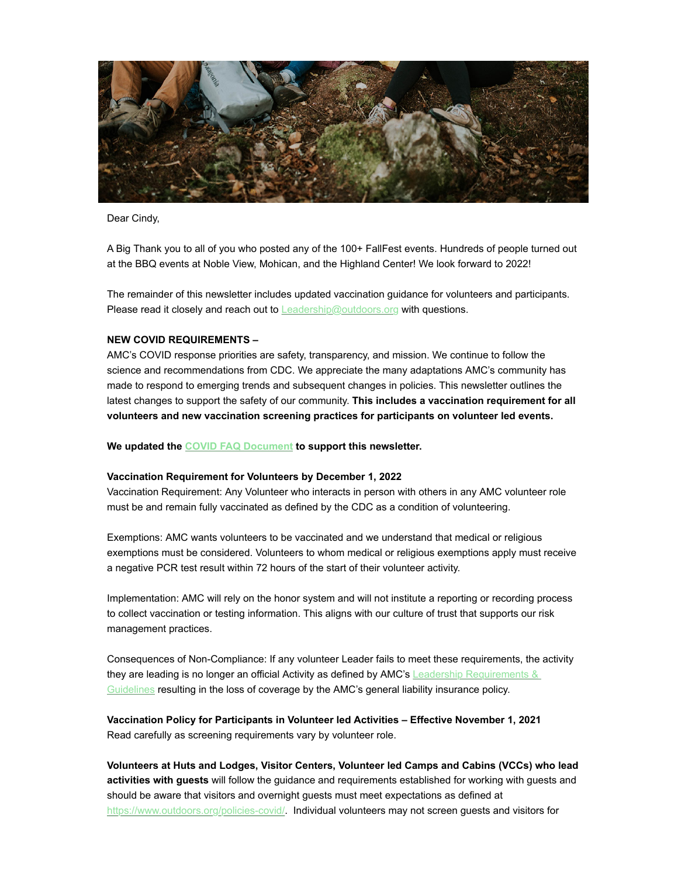

Dear Cindy,

A Big Thank you to all of you who posted any of the 100+ FallFest events. Hundreds of people turned out at the BBQ events at Noble View, Mohican, and the Highland Center! We look forward to 2022!

The remainder of this newsletter includes updated vaccination guidance for volunteers and participants. Please read it closely and reach out to [Leadership@outdoors.org](mailto:Leadership@outdoors.org?subject=) with questions.

#### **NEW COVID REQUIREMENTS –**

AMC's COVID response priorities are safety, transparency, and mission. We continue to follow the science and recommendations from CDC. We appreciate the many adaptations AMC's community has made to respond to emerging trends and subsequent changes in policies. This newsletter outlines the latest changes to support the safety of our community. **This includes a vaccination requirement for all volunteers and new vaccination screening practices for participants on volunteer led events.** 

**We updated the [COVID FAQ Document](https://click.e.outdoors.org/?qs=4791a9db066a8999715b1cf0f446af0a39b011663265e2251efed50d088ef1b0f2d230accaa7d29cc83710785f3d7db834d259c60757f246) to support this newsletter.** 

#### **Vaccination Requirement for Volunteers by December 1, 2022**

Vaccination Requirement: Any Volunteer who interacts in person with others in any AMC volunteer role must be and remain fully vaccinated as defined by the CDC as a condition of volunteering.

Exemptions: AMC wants volunteers to be vaccinated and we understand that medical or religious exemptions must be considered. Volunteers to whom medical or religious exemptions apply must receive a negative PCR test result within 72 hours of the start of their volunteer activity.

Implementation: AMC will rely on the honor system and will not institute a reporting or recording process to collect vaccination or testing information. This aligns with our culture of trust that supports our risk management practices.

Consequences of Non-Compliance: If any volunteer Leader fails to meet these requirements, the activity [they are leading is no longer an official Activity as defined by AMC's Leadership Requirements &](https://click.e.outdoors.org/?qs=4791a9db066a89994bc456d88cab6edf6569d56d05e151e6de434b8f2edfa37c8d218ab4801add084a52f494f50c7079c25ace7755131b0b) Guidelines resulting in the loss of coverage by the AMC's general liability insurance policy.

**Vaccination Policy for Participants in Volunteer led Activities – Effective November 1, 2021**  Read carefully as screening requirements vary by volunteer role.

**Volunteers at Huts and Lodges, Visitor Centers, Volunteer led Camps and Cabins (VCCs) who lead activities with guests** will follow the guidance and requirements established for working with guests and should be aware that visitors and overnight guests must meet expectations as defined at [https://www.outdoors.org/policies-covid/](https://click.e.outdoors.org/?qs=4791a9db066a8999c6fc1177be1b0488bd6b3afc68c60c839db5b4545c9d153b1a26e2374d2867e0167dd96b8d4384ca5fa7374d0afa8739). Individual volunteers may not screen guests and visitors for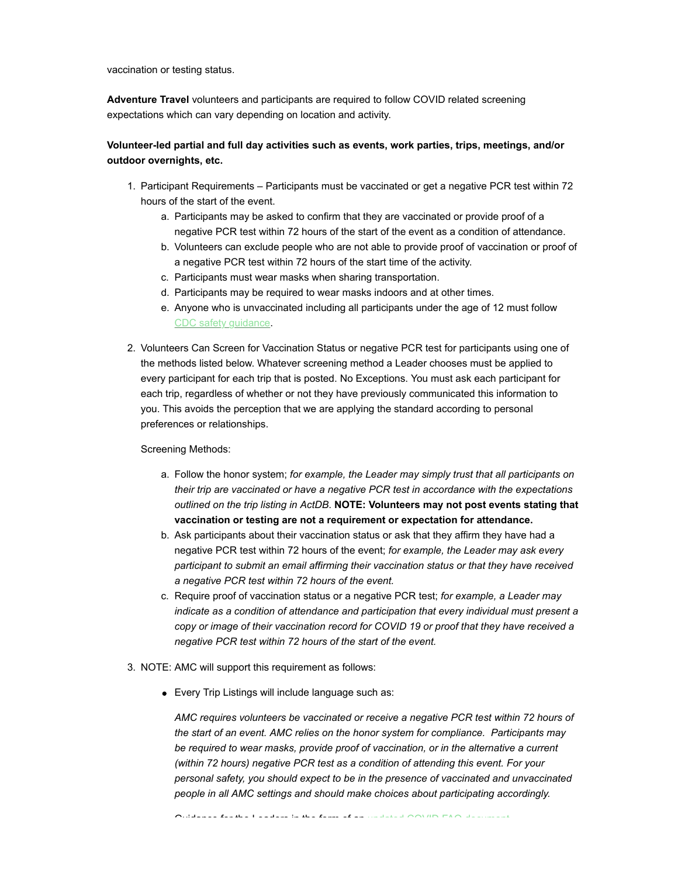vaccination or testing status.

**Adventure Travel** volunteers and participants are required to follow COVID related screening expectations which can vary depending on location and activity.

### **Volunteer-led partial and full day activities such as events, work parties, trips, meetings, and/or outdoor overnights, etc.**

- 1. Participant Requirements Participants must be vaccinated or get a negative PCR test within 72 hours of the start of the event.
	- a. Participants may be asked to confirm that they are vaccinated or provide proof of a negative PCR test within 72 hours of the start of the event as a condition of attendance.
	- b. Volunteers can exclude people who are not able to provide proof of vaccination or proof of a negative PCR test within 72 hours of the start time of the activity.
	- c. Participants must wear masks when sharing transportation.
	- d. Participants may be required to wear masks indoors and at other times.
	- e. Anyone who is unvaccinated including all participants under the age of 12 must follow [CDC safety guidance](https://click.e.outdoors.org/?qs=4791a9db066a8999914c82a87fa4d39ff7a6b868052da674a4f51a4def1678964642dfc32bd1c0f7f06d658a15d79bb32d7fa39df57efa2d).
- 2. Volunteers Can Screen for Vaccination Status or negative PCR test for participants using one of the methods listed below. Whatever screening method a Leader chooses must be applied to every participant for each trip that is posted. No Exceptions. You must ask each participant for each trip, regardless of whether or not they have previously communicated this information to you. This avoids the perception that we are applying the standard according to personal preferences or relationships.

Screening Methods:

- a. Follow the honor system; *for example, the Leader may simply trust that all participants on their trip are vaccinated or have a negative PCR test in accordance with the expectations outlined on the trip listing in ActDB*. **NOTE: Volunteers may not post events stating that vaccination or testing are not a requirement or expectation for attendance.**
- b. Ask participants about their vaccination status or ask that they affirm they have had a negative PCR test within 72 hours of the event; *for example, the Leader may ask every participant to submit an email affirming their vaccination status or that they have received a negative PCR test within 72 hours of the event.*
- c. Require proof of vaccination status or a negative PCR test; *for example, a Leader may indicate as a condition of attendance and participation that every individual must present a copy or image of their vaccination record for COVID 19 or proof that they have received a negative PCR test within 72 hours of the start of the event.*
- 3. NOTE: AMC will support this requirement as follows:
	- Every Trip Listings will include language such as:

*AMC requires volunteers be vaccinated or receive a negative PCR test within 72 hours of the start of an event. AMC relies on the honor system for compliance. Participants may be required to wear masks, provide proof of vaccination, or in the alternative a current (within 72 hours) negative PCR test as a condition of attending this event. For your personal safety, you should expect to be in the presence of vaccinated and unvaccinated people in all AMC settings and should make choices about participating accordingly.*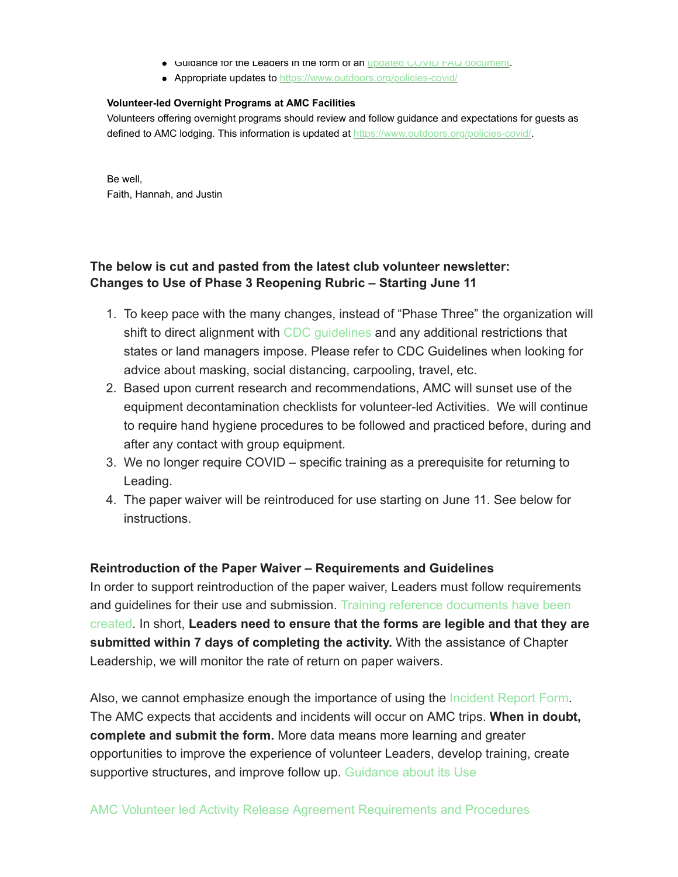- Guidance for the Leaders in the form of an [updated COVID FAQ document](https://click.e.outdoors.org/?qs=4791a9db066a89990fd72de32ad037646a35ca95285bcb1b1627347a977575bcf733863b1f16baf7ccf649e0731c4bfb4e30b4d8c591fe87).
- Appropriate updates to [https://www.outdoors.org/policies-covid/](https://click.e.outdoors.org/?qs=4791a9db066a8999c6fc1177be1b0488bd6b3afc68c60c839db5b4545c9d153b1a26e2374d2867e0167dd96b8d4384ca5fa7374d0afa8739)

#### **Volunteer-led Overnight Programs at AMC Facilities**

Volunteers offering overnight programs should review and follow guidance and expectations for guests as defined to AMC lodging. This information is updated at [https://www.outdoors.org/policies-covid/](https://click.e.outdoors.org/?qs=4791a9db066a8999c6fc1177be1b0488bd6b3afc68c60c839db5b4545c9d153b1a26e2374d2867e0167dd96b8d4384ca5fa7374d0afa8739).

Be well, Faith, Hannah, and Justin

# **The below is cut and pasted from the latest club volunteer newsletter: Changes to Use of Phase 3 Reopening Rubric – Starting June 11**

- 1. To keep pace with the many changes, instead of "Phase Three" the organization will shift to direct alignment with [CDC guidelines](http://click.e.outdoors.org/?qs=62b1fc33f56556395d0a1c271e26680263fcbf9c61924fa6955aff9b3d89b4d388a4a5f074bf2e2bd610d369ebcdb7fe4a5497ca2641d050) and any additional restrictions that states or land managers impose. Please refer to CDC Guidelines when looking for advice about masking, social distancing, carpooling, travel, etc.
- 2. Based upon current research and recommendations, AMC will sunset use of the equipment decontamination checklists for volunteer-led Activities. We will continue to require hand hygiene procedures to be followed and practiced before, during and after any contact with group equipment.
- 3. We no longer require COVID specific training as a prerequisite for returning to Leading.
- 4. The paper waiver will be reintroduced for use starting on June 11. See below for instructions.

## **Reintroduction of the Paper Waiver – Requirements and Guidelines**

In order to support reintroduction of the paper waiver, Leaders must follow requirements and quidelines for their use and submission. Training reference documents have been created. In short, **Leaders need to ensure that the forms are legible and that they are submitted within 7 days of completing the activity.** With the assistance of Chapter Leadership, we will monitor the rate of return on paper waivers.

Also, we cannot emphasize enough the importance of using the [Incident Report Form.](http://click.e.outdoors.org/?qs=62b1fc33f5655639b1752b16a950e043534ab978f1ab5809e0174c6fe665f3609b3f3a30e6694317cfbed5e16b9276eb0de36c6dd322a89e) The AMC expects that accidents and incidents will occur on AMC trips. **When in doubt, complete and submit the form.** More data means more learning and greater opportunities to improve the experience of volunteer Leaders, develop training, create supportive structures, and improve follow up. [Guidance about its Use](http://click.e.outdoors.org/?qs=62b1fc33f5655639f9a4f83b5bdbfaaa250a55e0977a92d95eec768c01d74d667960cd1f93196019b69a0472a9dce56210f01863954e5e65)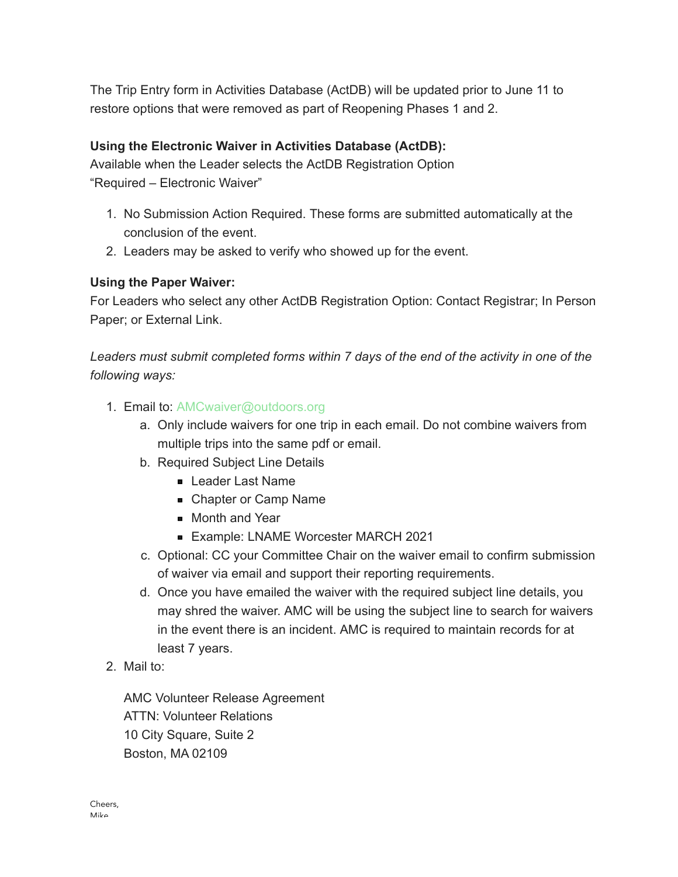The Trip Entry form in Activities Database (ActDB) will be updated prior to June 11 to restore options that were removed as part of Reopening Phases 1 and 2.

## **Using the Electronic Waiver in Activities Database (ActDB):**

Available when the Leader selects the ActDB Registration Option "Required – Electronic Waiver"

- 1. No Submission Action Required. These forms are submitted automatically at the conclusion of the event.
- 2. Leaders may be asked to verify who showed up for the event.

# **Using the Paper Waiver:**

For Leaders who select any other ActDB Registration Option: Contact Registrar; In Person Paper; or External Link.

*Leaders must submit completed forms within 7 days of the end of the activity in one of the following ways:*

- 1. Email to: AMCwaiver@outdoors.org
	- a. Only include waivers for one trip in each email. Do not combine waivers from multiple trips into the same pdf or email.
	- b. Required Subject Line Details
		- **Leader Last Name**
		- Chapter or Camp Name
		- **Month and Year**
		- **Example: LNAME Worcester MARCH 2021**
	- c. Optional: CC your Committee Chair on the waiver email to confirm submission of waiver via email and support their reporting requirements.
	- d. Once you have emailed the waiver with the required subject line details, you may shred the waiver. AMC will be using the subject line to search for waivers in the event there is an incident. AMC is required to maintain records for at least 7 years.
- 2. Mail to:

AMC Volunteer Release Agreement ATTN: Volunteer Relations 10 City Square, Suite 2 Boston, MA 02109